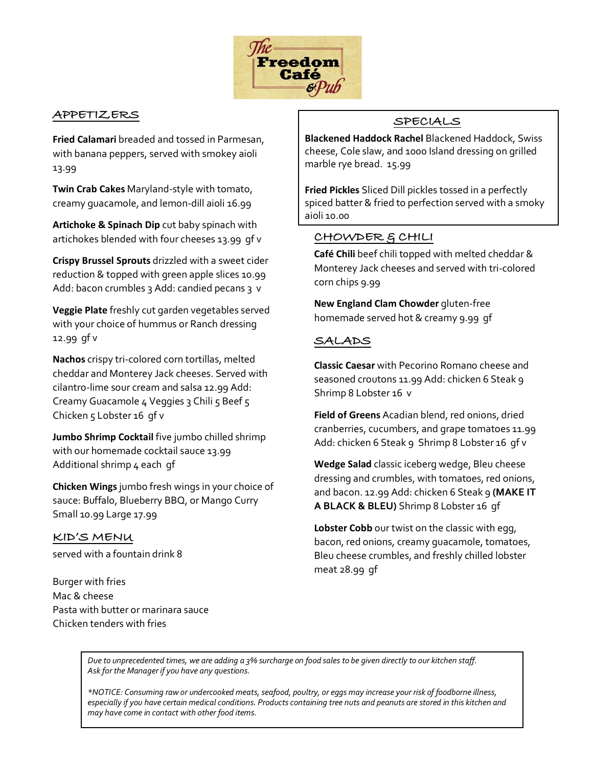

## **APPETIZERS**

**Fried Calamari** breaded and tossed in Parmesan, with banana peppers, served with smokey aioli 13.99

**Twin Crab Cakes** Maryland-style with tomato, creamy guacamole, and lemon-dill aioli 16.99

**Artichoke & Spinach Dip** cut baby spinach with artichokes blended with four cheeses 13.99 gf v

**Crispy Brussel Sprouts** drizzled with a sweet cider reduction & topped with green apple slices 10.99 Add: bacon crumbles 3 Add: candied pecans 3 v

**Veggie Plate** freshly cut garden vegetables served with your choice of hummus or Ranch dressing 12.99 gf v

**Nachos** crispy tri-colored corn tortillas, melted cheddar and Monterey Jack cheeses. Served with cilantro-lime sour cream and salsa 12.99 Add: Creamy Guacamole 4 Veggies 3 Chili 5 Beef 5 Chicken 5 Lobster 16 gf v

**Jumbo Shrimp Cocktail** five jumbo chilled shrimp with our homemade cocktail sauce 13.99 Additional shrimp 4 each gf

**Chicken Wings**jumbo fresh wings in your choice of sauce: Buffalo, Blueberry BBQ, or Mango Curry Small 10.99 Large 17.99

**KID'S MENU** served with a fountain drink 8

Burger with fries Mac & cheese Pasta with butter or marinara sauce Chicken tenders with fries

# **SPECIALS**

**Blackened Haddock Rachel** Blackened Haddock, Swiss cheese, Cole slaw, and 1000 Island dressing on grilled marble rye bread. 15.99

**Fried Pickles** Sliced Dill pickles tossed in a perfectly spiced batter & fried to perfection served with a smoky aioli 10.00

## **CHOWDER & CHILI**

**Café Chili** beef chili topped with melted cheddar & Monterey Jack cheeses and served with tri-colored corn chips 9.99

**New England Clam Chowder** gluten-free homemade served hot & creamy 9.99 gf

# **SALADS**

**Classic Caesar** with Pecorino Romano cheese and seasoned croutons 11.99 Add: chicken 6 Steak 9 Shrimp 8 Lobster 16 v

**Field of Greens** Acadian blend, red onions, dried cranberries, cucumbers, and grape tomatoes 11.99 Add: chicken 6 Steak 9 Shrimp 8 Lobster 16 qf v

**Wedge Salad** classic iceberg wedge, Bleu cheese dressing and crumbles, with tomatoes, red onions, and bacon. 12.99 Add: chicken 6 Steak 9 **(MAKE IT A BLACK & BLEU)** Shrimp 8 Lobster 16 gf

**Lobster Cobb** our twist on the classic with egg, bacon, red onions, creamy guacamole, tomatoes, Bleu cheese crumbles, and freshly chilled lobster meat 28.99 gf

*Due to unprecedented times, we are adding a 3% surcharge on food sales to be given directly to our kitchen staff. Ask for the Manager if you have any questions.*

*\*NOTICE: Consuming raw or undercooked meats, seafood, poultry, or eggs may increase your risk of foodborne illness, especially if you have certain medical conditions. Products containing tree nuts and peanuts are stored in this kitchen and may have come in contact with other food items.*